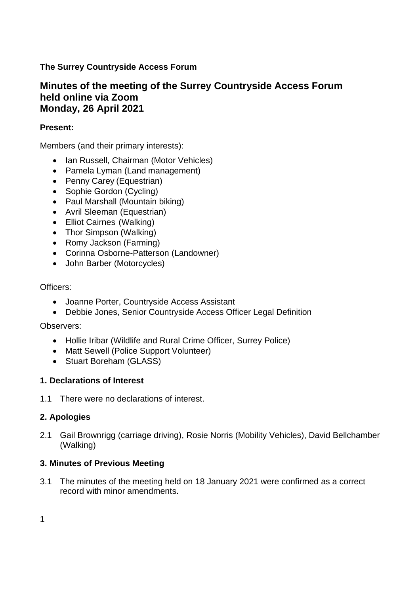# **The Surrey Countryside Access Forum**

# **Minutes of the meeting of the Surrey Countryside Access Forum held online via Zoom Monday, 26 April 2021**

### **Present:**

Members (and their primary interests):

- Ian Russell, Chairman (Motor Vehicles)
- Pamela Lyman (Land management)
- Penny Carey (Equestrian)
- Sophie Gordon (Cycling)
- Paul Marshall (Mountain biking)
- Avril Sleeman (Equestrian)
- Elliot Cairnes (Walking)
- Thor Simpson (Walking)
- Romy Jackson (Farming)
- Corinna Osborne-Patterson (Landowner)
- John Barber (Motorcycles)

## Officers:

- Joanne Porter, Countryside Access Assistant
- Debbie Jones, Senior Countryside Access Officer Legal Definition

Observers:

- Hollie Iribar (Wildlife and Rural Crime Officer, Surrey Police)
- Matt Sewell (Police Support Volunteer)
- Stuart Boreham (GLASS)

## **1. Declarations of Interest**

1.1 There were no declarations of interest.

# **2. Apologies**

2.1 Gail Brownrigg (carriage driving), Rosie Norris (Mobility Vehicles), David Bellchamber (Walking)

## **3. Minutes of Previous Meeting**

3.1 The minutes of the meeting held on 18 January 2021 were confirmed as a correct record with minor amendments.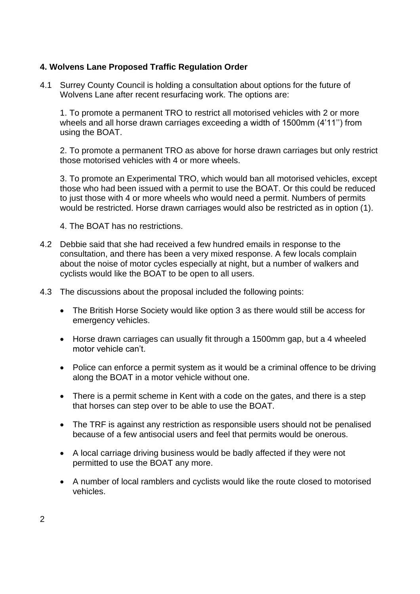#### **4. Wolvens Lane Proposed Traffic Regulation Order**

4.1 Surrey County Council is holding a consultation about options for the future of Wolvens Lane after recent resurfacing work. The options are:

1. To promote a permanent TRO to restrict all motorised vehicles with 2 or more wheels and all horse drawn carriages exceeding a width of 1500mm (4'11'') from using the BOAT.

2. To promote a permanent TRO as above for horse drawn carriages but only restrict those motorised vehicles with 4 or more wheels.

3. To promote an Experimental TRO, which would ban all motorised vehicles, except those who had been issued with a permit to use the BOAT. Or this could be reduced to just those with 4 or more wheels who would need a permit. Numbers of permits would be restricted. Horse drawn carriages would also be restricted as in option (1).

4. The BOAT has no restrictions.

- 4.2 Debbie said that she had received a few hundred emails in response to the consultation, and there has been a very mixed response. A few locals complain about the noise of motor cycles especially at night, but a number of walkers and cyclists would like the BOAT to be open to all users.
- 4.3 The discussions about the proposal included the following points:
	- The British Horse Society would like option 3 as there would still be access for emergency vehicles.
	- Horse drawn carriages can usually fit through a 1500mm gap, but a 4 wheeled motor vehicle can't.
	- Police can enforce a permit system as it would be a criminal offence to be driving along the BOAT in a motor vehicle without one.
	- There is a permit scheme in Kent with a code on the gates, and there is a step that horses can step over to be able to use the BOAT.
	- The TRF is against any restriction as responsible users should not be penalised because of a few antisocial users and feel that permits would be onerous.
	- A local carriage driving business would be badly affected if they were not permitted to use the BOAT any more.
	- A number of local ramblers and cyclists would like the route closed to motorised vehicles.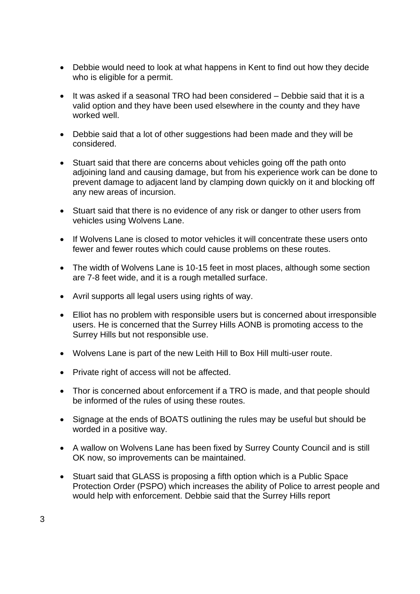- Debbie would need to look at what happens in Kent to find out how they decide who is eligible for a permit.
- It was asked if a seasonal TRO had been considered Debbie said that it is a valid option and they have been used elsewhere in the county and they have worked well.
- Debbie said that a lot of other suggestions had been made and they will be considered.
- Stuart said that there are concerns about vehicles going off the path onto adjoining land and causing damage, but from his experience work can be done to prevent damage to adjacent land by clamping down quickly on it and blocking off any new areas of incursion.
- Stuart said that there is no evidence of any risk or danger to other users from vehicles using Wolvens Lane.
- If Wolvens Lane is closed to motor vehicles it will concentrate these users onto fewer and fewer routes which could cause problems on these routes.
- The width of Wolvens Lane is 10-15 feet in most places, although some section are 7-8 feet wide, and it is a rough metalled surface.
- Avril supports all legal users using rights of way.
- Elliot has no problem with responsible users but is concerned about irresponsible users. He is concerned that the Surrey Hills AONB is promoting access to the Surrey Hills but not responsible use.
- Wolvens Lane is part of the new Leith Hill to Box Hill multi-user route.
- Private right of access will not be affected.
- Thor is concerned about enforcement if a TRO is made, and that people should be informed of the rules of using these routes.
- Signage at the ends of BOATS outlining the rules may be useful but should be worded in a positive way.
- A wallow on Wolvens Lane has been fixed by Surrey County Council and is still OK now, so improvements can be maintained.
- Stuart said that GLASS is proposing a fifth option which is a Public Space Protection Order (PSPO) which increases the ability of Police to arrest people and would help with enforcement. Debbie said that the Surrey Hills report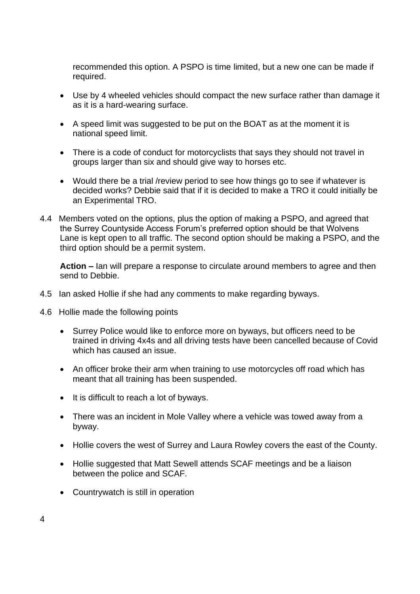recommended this option. A PSPO is time limited, but a new one can be made if required.

- Use by 4 wheeled vehicles should compact the new surface rather than damage it as it is a hard-wearing surface.
- A speed limit was suggested to be put on the BOAT as at the moment it is national speed limit.
- There is a code of conduct for motorcyclists that says they should not travel in groups larger than six and should give way to horses etc.
- Would there be a trial /review period to see how things go to see if whatever is decided works? Debbie said that if it is decided to make a TRO it could initially be an Experimental TRO.
- 4.4 Members voted on the options, plus the option of making a PSPO, and agreed that the Surrey Countyside Access Forum's preferred option should be that Wolvens Lane is kept open to all traffic. The second option should be making a PSPO, and the third option should be a permit system.

**Action –** Ian will prepare a response to circulate around members to agree and then send to Debbie.

- 4.5 Ian asked Hollie if she had any comments to make regarding byways.
- 4.6 Hollie made the following points
	- Surrey Police would like to enforce more on byways, but officers need to be trained in driving 4x4s and all driving tests have been cancelled because of Covid which has caused an issue.
	- An officer broke their arm when training to use motorcycles off road which has meant that all training has been suspended.
	- It is difficult to reach a lot of byways.
	- There was an incident in Mole Valley where a vehicle was towed away from a byway.
	- Hollie covers the west of Surrey and Laura Rowley covers the east of the County.
	- Hollie suggested that Matt Sewell attends SCAF meetings and be a liaison between the police and SCAF.
	- Countrywatch is still in operation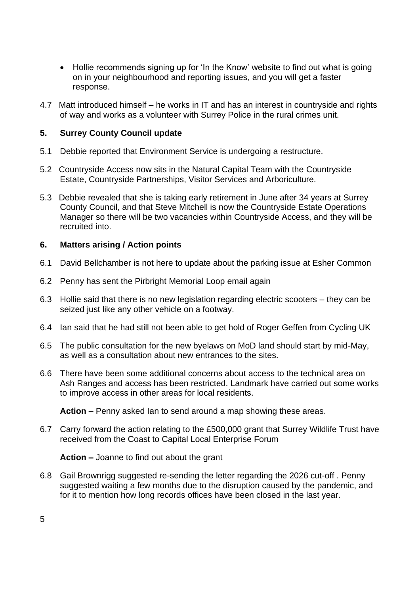- Hollie recommends signing up for 'In the Know' website to find out what is going on in your neighbourhood and reporting issues, and you will get a faster response.
- 4.7 Matt introduced himself he works in IT and has an interest in countryside and rights of way and works as a volunteer with Surrey Police in the rural crimes unit.

## **5. Surrey County Council update**

- 5.1 Debbie reported that Environment Service is undergoing a restructure.
- 5.2 Countryside Access now sits in the Natural Capital Team with the Countryside Estate, Countryside Partnerships, Visitor Services and Arboriculture.
- 5.3 Debbie revealed that she is taking early retirement in June after 34 years at Surrey County Council, and that Steve Mitchell is now the Countryside Estate Operations Manager so there will be two vacancies within Countryside Access, and they will be recruited into.

## **6. Matters arising / Action points**

- 6.1 David Bellchamber is not here to update about the parking issue at Esher Common
- 6.2 Penny has sent the Pirbright Memorial Loop email again
- 6.3 Hollie said that there is no new legislation regarding electric scooters they can be seized just like any other vehicle on a footway.
- 6.4 Ian said that he had still not been able to get hold of Roger Geffen from Cycling UK
- 6.5 The public consultation for the new byelaws on MoD land should start by mid-May, as well as a consultation about new entrances to the sites.
- 6.6 There have been some additional concerns about access to the technical area on Ash Ranges and access has been restricted. Landmark have carried out some works to improve access in other areas for local residents.

**Action –** Penny asked Ian to send around a map showing these areas.

6.7 Carry forward the action relating to the £500,000 grant that Surrey Wildlife Trust have received from the Coast to Capital Local Enterprise Forum

**Action –** Joanne to find out about the grant

6.8 Gail Brownrigg suggested re-sending the letter regarding the 2026 cut-off . Penny suggested waiting a few months due to the disruption caused by the pandemic, and for it to mention how long records offices have been closed in the last year.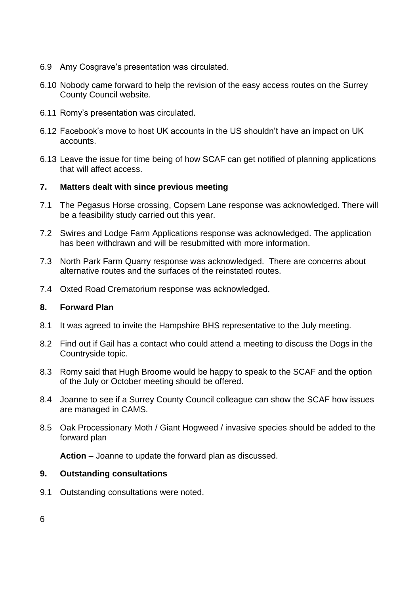- 6.9 Amy Cosgrave's presentation was circulated.
- 6.10 Nobody came forward to help the revision of the easy access routes on the Surrey County Council website.
- 6.11 Romy's presentation was circulated.
- 6.12 Facebook's move to host UK accounts in the US shouldn't have an impact on UK accounts.
- 6.13 Leave the issue for time being of how SCAF can get notified of planning applications that will affect access.

#### **7. Matters dealt with since previous meeting**

- 7.1 The Pegasus Horse crossing, Copsem Lane response was acknowledged. There will be a feasibility study carried out this year.
- 7.2 Swires and Lodge Farm Applications response was acknowledged. The application has been withdrawn and will be resubmitted with more information.
- 7.3 North Park Farm Quarry response was acknowledged. There are concerns about alternative routes and the surfaces of the reinstated routes.
- 7.4 Oxted Road Crematorium response was acknowledged.

#### **8. Forward Plan**

- 8.1 It was agreed to invite the Hampshire BHS representative to the July meeting.
- 8.2 Find out if Gail has a contact who could attend a meeting to discuss the Dogs in the Countryside topic.
- 8.3 Romy said that Hugh Broome would be happy to speak to the SCAF and the option of the July or October meeting should be offered.
- 8.4 Joanne to see if a Surrey County Council colleague can show the SCAF how issues are managed in CAMS.
- 8.5 Oak Processionary Moth / Giant Hogweed / invasive species should be added to the forward plan

**Action –** Joanne to update the forward plan as discussed.

#### **9. Outstanding consultations**

9.1 Outstanding consultations were noted.